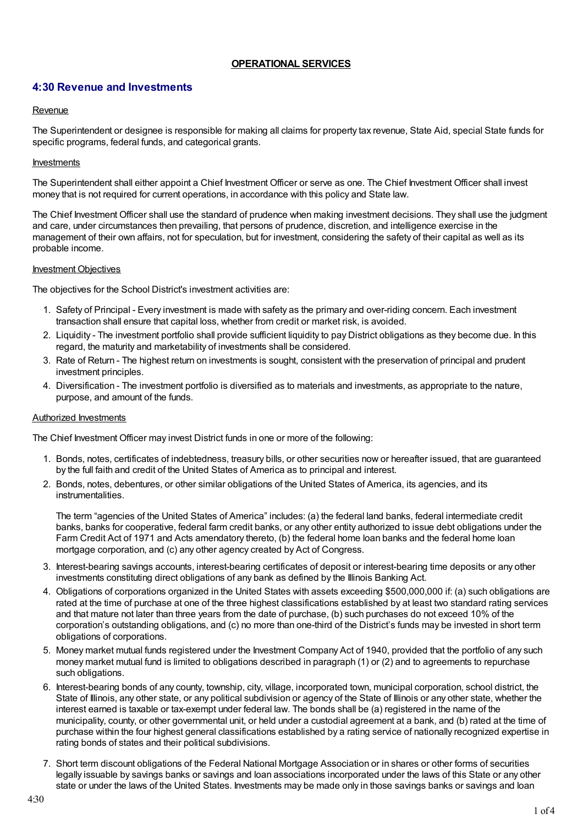# **OPERATIONAL SERVICES**

# **4:30 Revenue and Investments**

## Revenue

The Superintendent or designee is responsible for making all claims for property tax revenue, State Aid, special State funds for specific programs, federal funds, and categorical grants.

## Investments

The Superintendent shall either appoint a Chief Investment Officer or serve as one. The Chief Investment Officer shall invest money that is not required for current operations, in accordance with this policy and State law.

The Chief Investment Officer shall use the standard of prudence when making investment decisions. They shall use the judgment and care, under circumstances then prevailing, that persons of prudence, discretion, and intelligence exercise in the management of their own affairs, not for speculation, but for investment, considering the safety of their capital as well as its probable income.

#### Investment Objectives

The objectives for the School District's investment activities are:

- 1. Safety of Principal Every investment is made with safety as the primary and over-riding concern. Each investment transaction shall ensure that capital loss, whether from credit or market risk, is avoided.
- 2. Liquidity The investment portfolio shall provide sufficient liquidity to pay District obligations as they become due. In this regard, the maturity and marketability of investments shall be considered.
- 3. Rate of Return The highest return on investments is sought, consistent with the preservation of principal and prudent investment principles.
- 4. Diversification The investment portfolio is diversified as to materials and investments, as appropriate to the nature, purpose, and amount of the funds.

#### Authorized Investments

The Chief Investment Officer may invest District funds in one or more of the following:

- 1. Bonds, notes, certificates of indebtedness, treasury bills, or other securities now or hereafter issued, that are guaranteed by the full faith and credit of the United States of America as to principal and interest.
- 2. Bonds, notes, debentures, or other similar obligations of the United States of America, its agencies, and its instrumentalities.

The term "agencies of the United States of America" includes: (a) the federal land banks, federal intermediate credit banks, banks for cooperative, federal farm credit banks, or any other entity authorized to issue debt obligations under the Farm Credit Act of 1971 and Acts amendatory thereto, (b) the federal home loan banks and the federal home loan mortgage corporation, and (c) any other agency created by Act of Congress.

- 3. Interest-bearing savings accounts, interest-bearing certificates of deposit or interest-bearing time deposits or any other investments constituting direct obligations of any bank as defined by the Illinois Banking Act.
- 4. Obligations of corporations organized in the United States with assets exceeding \$500,000,000 if: (a) such obligations are rated at the time of purchase at one of the three highest classifications established by at least two standard rating services and that mature not later than three years from the date of purchase, (b) such purchases do not exceed 10% of the corporation's outstanding obligations, and (c) no more than one-third of the District's funds may be invested in short term obligations of corporations.
- 5. Money market mutual funds registered under the Investment Company Act of 1940, provided that the portfolio of any such money market mutual fund is limited to obligations described in paragraph (1) or (2) and to agreements to repurchase such obligations.
- 6. Interest-bearing bonds of any county, township, city, village, incorporated town, municipal corporation, school district, the State of Illinois, any other state, or any political subdivision or agency of the State of Illinois or any other state, whether the interest earned is taxable or tax-exempt under federal law. The bonds shall be (a) registered in the name of the municipality, county, or other governmental unit, or held under a custodial agreement at a bank, and (b) rated at the time of purchase within the four highest general classifications established by a rating service of nationally recognized expertise in rating bonds of states and their political subdivisions.
- 7. Short term discount obligations of the Federal National Mortgage Association or in shares or other forms of securities legally issuable by savings banks or savings and loan associations incorporated under the laws of this State or any other state or under the laws of the United States. Investments may be made only in those savings banks or savings and loan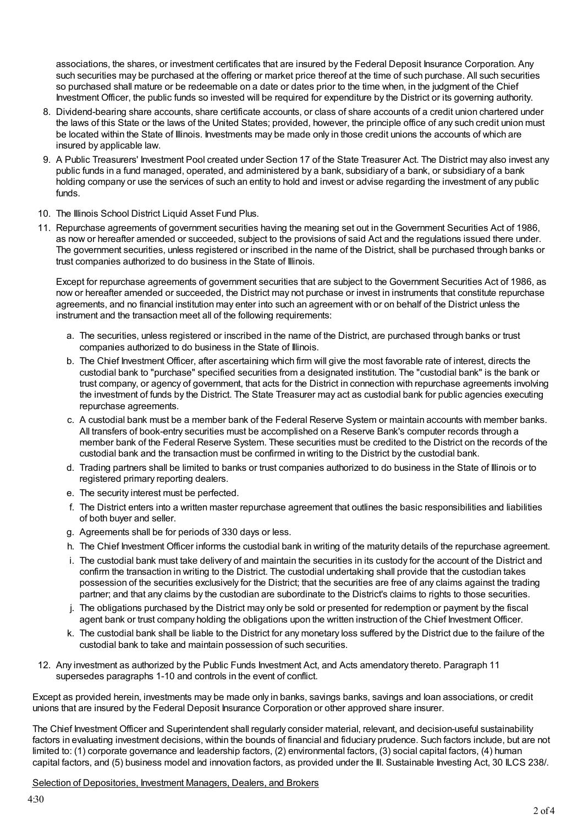associations, the shares, or investment certificates that are insured by the Federal Deposit Insurance Corporation. Any such securities may be purchased at the offering or market price thereof at the time of such purchase. All such securities so purchased shall mature or be redeemable on a date or dates prior to the time when, in the judgment of the Chief Investment Officer, the public funds so invested will be required for expenditure by the District or its governing authority.

- 8. Dividend-bearing share accounts, share certificate accounts, or class of share accounts of a credit union chartered under the laws of this State or the laws of the United States; provided, however, the principle office of any such credit union must be located within the State of Illinois. Investments may be made only in those credit unions the accounts of which are insured by applicable law.
- 9. A Public Treasurers' Investment Pool created under Section 17 of the State Treasurer Act. The District may also invest any public funds in a fund managed, operated, and administered by a bank, subsidiary of a bank, or subsidiary of a bank holding company or use the services of such an entity to hold and invest or advise regarding the investment of any public funds.
- 10. The Illinois School District Liquid Asset Fund Plus.
- 11. Repurchase agreements of government securities having the meaning set out in the Government Securities Act of 1986, as now or hereafter amended or succeeded, subject to the provisions of said Act and the regulations issued there under. The government securities, unless registered or inscribed in the name of the District, shall be purchased through banks or trust companies authorized to do business in the State of Illinois.

Except for repurchase agreements of government securities that are subject to the Government Securities Act of 1986, as now or hereafter amended or succeeded, the District may not purchase or invest in instruments that constitute repurchase agreements, and no financial institution may enter into such an agreement with or on behalf of the District unless the instrument and the transaction meet all of the following requirements:

- a. The securities, unless registered or inscribed in the name of the District, are purchased through banks or trust companies authorized to do business in the State of Illinois.
- b. The Chief Investment Officer, after ascertaining which firm will give the most favorable rate of interest, directs the custodial bank to "purchase" specified securities from a designated institution. The "custodial bank" is the bank or trust company, or agency of government, that acts for the District in connection with repurchase agreements involving the investment of funds by the District. The State Treasurer may act as custodial bank for public agencies executing repurchase agreements.
- c. A custodial bank must be a member bank of the Federal Reserve System or maintain accounts with member banks. All transfers of book-entry securities must be accomplished on a Reserve Bank's computer records through a member bank of the Federal Reserve System. These securities must be credited to the District on the records of the custodial bank and the transaction must be confirmed in writing to the District by the custodial bank.
- d. Trading partners shall be limited to banks or trust companies authorized to do business in the State of Illinois or to registered primary reporting dealers.
- e. The security interest must be perfected.
- f. The District enters into a written master repurchase agreement that outlines the basic responsibilities and liabilities of both buyer and seller.
- g. Agreements shall be for periods of 330 days or less.
- h. The Chief Investment Officer informs the custodial bank in writing of the maturity details of the repurchase agreement.
- i. The custodial bank must take delivery of and maintain the securities in its custody for the account of the District and confirm the transaction in writing to the District. The custodial undertaking shall provide that the custodian takes possession of the securities exclusively for the District; that the securities are free of any claims against the trading partner; and that any claims by the custodian are subordinate to the District's claims to rights to those securities.
- j. The obligations purchased by the District may only be sold or presented for redemption or payment by the fiscal agent bank or trust company holding the obligations upon the written instruction of the Chief Investment Officer.
- k. The custodial bank shall be liable to the District for any monetary loss suffered by the District due to the failure of the custodial bank to take and maintain possession of such securities.
- 12. Any investment as authorized by the Public Funds Investment Act, and Acts amendatory thereto. Paragraph 11 supersedes paragraphs 1-10 and controls in the event of conflict.

Except as provided herein, investments may be made only in banks, savings banks, savings and loan associations, or credit unions that are insured by the Federal Deposit Insurance Corporation or other approved share insurer.

The Chief Investment Officer and Superintendent shall regularly consider material, relevant, and decision-useful sustainability factors in evaluating investment decisions, within the bounds of financial and fiduciary prudence. Such factors include, but are not limited to: (1) corporate governance and leadership factors, (2) environmental factors, (3) social capital factors, (4) human capital factors, and (5) business model and innovation factors, as provided under the Ill. Sustainable Investing Act, 30 ILCS 238/.

Selection of Depositories, Investment Managers, Dealers, and Brokers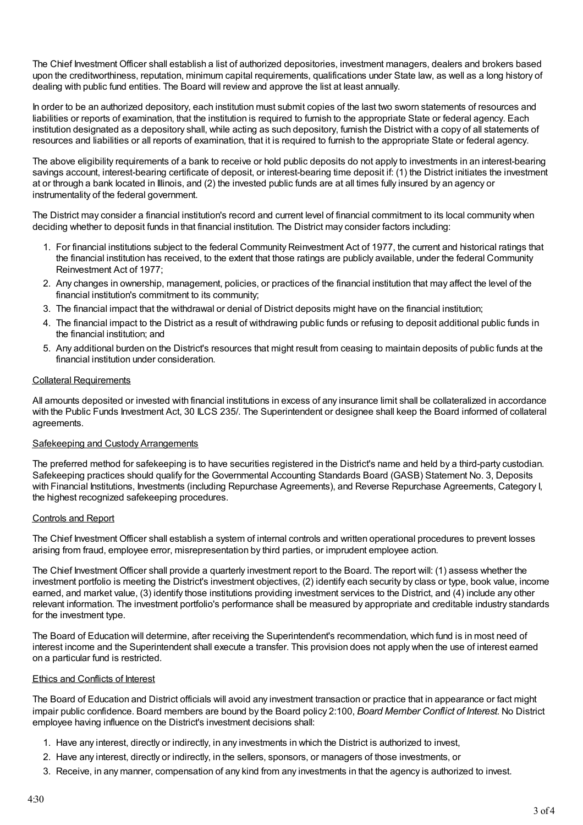The Chief Investment Officer shall establish a list of authorized depositories, investment managers, dealers and brokers based upon the creditworthiness, reputation, minimum capital requirements, qualifications under State law, as well as a long history of dealing with public fund entities. The Board will review and approve the list at least annually.

In order to be an authorized depository, each institution must submit copies of the last two sworn statements of resources and liabilities or reports of examination, that the institution is required to furnish to the appropriate State or federal agency. Each institution designated as a depository shall, while acting as such depository, furnish the District with a copy of all statements of resources and liabilities or all reports of examination, that it is required to furnish to the appropriate State or federal agency.

The above eligibility requirements of a bank to receive or hold public deposits do not apply to investments in an interest-bearing savings account, interest-bearing certificate of deposit, or interest-bearing time deposit if: (1) the District initiates the investment at or through a bank located in Illinois, and (2) the invested public funds are at all times fully insured by an agency or instrumentality of the federal government.

The District may consider a financial institution's record and current level of financial commitment to its local community when deciding whether to deposit funds in that financial institution. The District may consider factors including:

- 1. For financial institutions subject to the federal Community Reinvestment Act of 1977, the current and historical ratings that the financial institution has received, to the extent that those ratings are publicly available, under the federal Community Reinvestment Act of 1977;
- 2. Any changes in ownership, management, policies, or practices of the financial institution that may affect the level of the financial institution's commitment to its community;
- 3. The financial impact that the withdrawal or denial of District deposits might have on the financial institution;
- 4. The financial impact to the District as a result of withdrawing public funds or refusing to deposit additional public funds in the financial institution; and
- 5. Any additional burden on the District's resources that might result from ceasing to maintain deposits of public funds at the financial institution under consideration.

#### Collateral Requirements

All amounts deposited or invested with financial institutions in excess of any insurance limit shall be collateralized in accordance with the Public Funds Investment Act, 30 ILCS 235/. The Superintendent or designee shall keep the Board informed of collateral agreements.

#### Safekeeping and Custody Arrangements

The preferred method for safekeeping is to have securities registered in the District's name and held by a third-party custodian. Safekeeping practices should qualify for the Governmental Accounting Standards Board (GASB) Statement No. 3, Deposits with Financial Institutions, Investments (including Repurchase Agreements), and Reverse Repurchase Agreements, Category I, the highest recognized safekeeping procedures.

#### Controls and Report

The Chief Investment Officer shall establish a system of internal controls and written operational procedures to prevent losses arising from fraud, employee error, misrepresentation by third parties, or imprudent employee action.

The Chief Investment Officer shall provide a quarterly investment report to the Board. The report will: (1) assess whether the investment portfolio is meeting the District's investment objectives, (2) identify each security by class or type, book value, income earned, and market value, (3) identify those institutions providing investment services to the District, and (4) include any other relevant information. The investment portfolio's performance shall be measured by appropriate and creditable industry standards for the investment type.

The Board of Education will determine, after receiving the Superintendent's recommendation, which fund is in most need of interest income and the Superintendent shall execute a transfer. This provision does not apply when the use of interest earned on a particular fund is restricted.

#### Ethics and Conflicts of Interest

The Board of Education and District officials will avoid any investment transaction or practice that in appearance or fact might impair public confidence. Board members are bound by the Board policy 2:100, *Board Member Conflict of Interest*. No District employee having influence on the District's investment decisions shall:

- 1. Have any interest, directly or indirectly, in any investments in which the District is authorized to invest,
- 2. Have any interest, directly or indirectly, in the sellers, sponsors, or managers of those investments, or
- 3. Receive, in any manner, compensation of any kind from any investments in that the agency is authorized to invest.